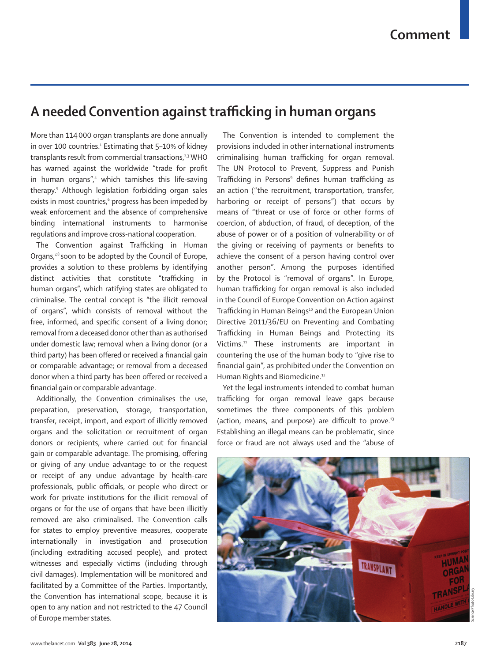## A needed Convention against trafficking in human organs

More than 114 000 organ transplants are done annually in over 100 countries. $^{\rm 1}$  Estimating that 5–10% of kidney transplants result from commercial transactions,<sup>2,3</sup> WHO has warned against the worldwide "trade for profit in human organs",4 which tarnishes this life-saving therapy.5 Although legislation forbidding organ sales exists in most countries, $^{\rm 6}$  progress has been impeded by weak enforcement and the absence of comprehensive binding international instruments to harmonise regulations and improve cross-national cooperation.

The Convention against Trafficking in Human Organs,<sup>78</sup> soon to be adopted by the Council of Europe, provides a solution to these problems by identifying distinct activities that constitute "trafficking in human organs", which ratifying states are obligated to criminalise. The central concept is "the illicit removal of organs", which consists of removal without the free, informed, and specific consent of a living donor; removal from a deceased donor other than as authorised under domestic law; removal when a living donor (or a third party) has been offered or received a financial gain or comparable advantage; or removal from a deceased donor when a third party has been offered or received a financial gain or comparable advantage.

Additionally, the Convention criminalises the use, preparation, preservation, storage, transportation, transfer, receipt, import, and export of illicitly removed organs and the solicitation or recruitment of organ donors or recipients, where carried out for financial gain or comparable advantage. The promising, offering or giving of any undue advantage to or the request or receipt of any undue advantage by health-care professionals, public officials, or people who direct or work for private institutions for the illicit removal of organs or for the use of organs that have been illicitly removed are also criminalised. The Convention calls for states to employ preventive measures, cooperate internationally in investigation and prosecution (including extraditing accused people), and protect witnesses and especially victims (including through civil damages). Implementation will be monitored and facilitated by a Committee of the Parties. Importantly, the Convention has international scope, because it is open to any nation and not restricted to the 47 Council of Europe member states.

The Convention is intended to complement the provisions included in other international instruments criminalising human trafficking for organ removal. The UN Protocol to Prevent, Suppress and Punish Trafficking in Persons<sup>9</sup> defines human trafficking as an action ("the recruitment, transportation, transfer, harboring or receipt of persons") that occurs by means of "threat or use of force or other forms of coercion, of abduction, of fraud, of deception, of the abuse of power or of a position of vulnerability or of the giving or receiving of payments or benefits to achieve the consent of a person having control over another person". Among the purposes identified by the Protocol is "removal of organs". In Europe, human trafficking for organ removal is also included in the Council of Europe Convention on Action against Trafficking in Human Beings<sup>10</sup> and the European Union Directive 2011/36/EU on Preventing and Combating Trafficking in Human Beings and Protecting its Victims.11 These instruments are important in countering the use of the human body to "give rise to financial gain", as prohibited under the Convention on Human Rights and Biomedicine.<sup>12</sup>

Yet the legal instruments intended to combat human trafficking for organ removal leave gaps because sometimes the three components of this problem (action, means, and purpose) are difficult to prove. $^{13}$ Establishing an illegal means can be problematic, since force or fraud are not always used and the "abuse of

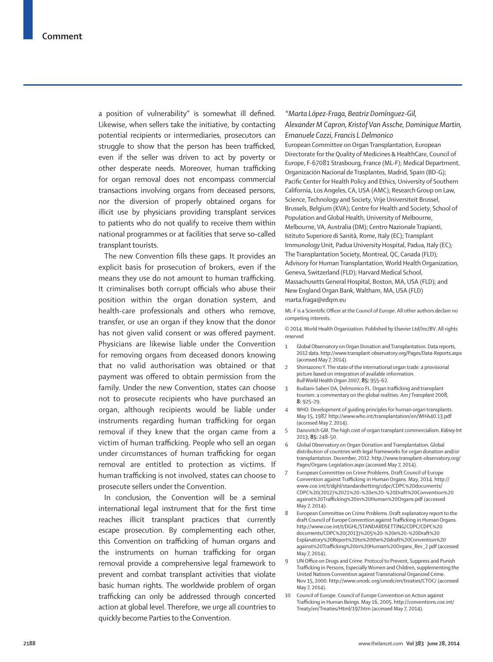a position of vulnerability" is somewhat ill defined. Likewise, when sellers take the initiative, by contacting potential recipients or intermediaries, prosecutors can struggle to show that the person has been trafficked, even if the seller was driven to act by poverty or other desperate needs. Moreover, human trafficking for organ removal does not encompass commercial transactions involving organs from deceased persons, nor the diversion of properly obtained organs for illicit use by physicians providing transplant services to patients who do not qualify to receive them within national programmes or at facilities that serve so-called transplant tourists.

The new Convention fills these gaps. It provides an explicit basis for prosecution of brokers, even if the means they use do not amount to human trafficking. It criminalises both corrupt officials who abuse their position within the organ donation system, and health-care professionals and others who remove, transfer, or use an organ if they know that the donor has not given valid consent or was offered payment. Physicians are likewise liable under the Convention for removing organs from deceased donors knowing that no valid authorisation was obtained or that payment was offered to obtain permission from the family. Under the new Convention, states can choose not to prosecute recipients who have purchased an organ, although recipients would be liable under instruments regarding human trafficking for organ removal if they knew that the organ came from a victim of human trafficking. People who sell an organ under circumstances of human trafficking for organ removal are entitled to protection as victims. If human trafficking is not involved, states can choose to prosecute sellers under the Convention.

In conclusion, the Convention will be a seminal international legal instrument that for the first time reaches illicit transplant practices that currently escape prosecution. By complementing each other, this Convention on trafficking of human organs and the instruments on human trafficking for organ removal provide a comprehensive legal framework to prevent and combat transplant activities that violate basic human rights. The worldwide problem of organ trafficking can only be addressed through concerted action at global level. Therefore, we urge all countries to quickly become Parties to the Convention.

*\*Marta López-Fraga, Beatriz Domínguez-Gil, Alexander M Capron, Kristof Van Assche, Dominique Martin, Emanuele Cozzi, Francis L Delmonico*

European Committee on Organ Transplantation, European Directorate for the Quality of Medicines & HealthCare, Council of Europe, F-67081 Strasbourg, France (ML-F); Medical Department, Organización Nacional de Trasplantes, Madrid, Spain (BD-G); Pacific Center for Health Policy and Ethics, University of Southern California, Los Angeles, CA, USA (AMC); Research Group on Law, Science, Technology and Society, Vrije Universiteit Brussel, Brussels, Belgium (KVA); Centre for Health and Society, School of Population and Global Health, University of Melbourne, Melbourne, VA, Australia (DM); Centro Nazionale Trapianti, Istituto Superiore di Sanità, Rome, Italy (EC); Transplant Immunology Unit, Padua University Hospital, Padua, Italy (EC); The Transplantation Society, Montreal, QC, Canada (FLD); Advisory for Human Transplantation, World Health Organization, Geneva, Switzerland (FLD); Harvard Medical School, Massachusetts General Hospital, Boston, MA, USA (FLD); and New England Organ Bank, Waltham, MA, USA (FLD) marta.fraga@edqm.eu

ML-F is a Scientific Officer at the Council of Europe. All other authors declare no competing interests.

© 2014. World Health Organization. Published by Elsevier Ltd/Inc/BV. All rights reserved

- Global Observatory on Organ Donation and Transplantation. Data reports, 2012 data. http://www.transplant-observatory.org/Pages/Data-Reports.aspx (accessed May 7, 2014).
- 2 Shimazono Y. The state of the international organ trade: a provisional picture based on integration of available information. *Bull World Health Organ* 2007; **85:** 955–62.
- 3 Budiani-Saberi DA, Delmonico FL. Organ trafficking and transplant tourism: a commentary on the global realities. *Am J Transplant* 2008; **8:** 925–29.
- WHO. Development of guiding principles for human organ transplants. May 15, 1987. http://www.who.int/transplantation/en/WHA40.13.pdf (accessed May 7, 2014).
- 5 Danovitch GM. The high cost of organ transplant commercialism. *Kidney Int* 2013; **85:** 248–50.
- 6 Global Observatory on Organ Donation and Transplantation. Global distribution of countries with legal frameworks for organ donation and/or transplantation. December, 2012. http://www.transplant-observatory.org/ Pages/Organs-Legislation.aspx (accessed May 7, 2014).
- 7 European Committee on Crime Problems. Draft Council of Europe Convention against Trafficking in Human Organs. May, 2014. http:// www.coe.int/t/dghl/standardsetting/cdpc/CDPC%20documents/ CDPC%20(2012)%2021%20-%20e%20-%20Draft%20Convention%20 against%20Trafficking%20in%20Human%20Organs.pdf (accessed May 7, 2014).
- 8 European Committee on Crime Problems. Draft explanatory report to the draft Council of Europe Convention against Trafficking in Human Organs. http://www.coe.int/t/DGHL/STANDARDSETTING/CDPC/CDPC%20 documents/CDPC%20(2013)%205%20-%20e%20-%20Draft%20 Explanatory%20Report%20to%20the%20draft%20Convention%20 against%20Trafficking%20in%20Human%20Organs\_Rev\_2.pdf (accessed May 7, 2014).
- UN Office on Drugs and Crime. Protocol to Prevent, Suppress and Punish Trafficking in Persons, Especially Women and Children, supplementing the United Nations Convention against Transnational Organized Crime. Nov 15, 2000. http://www.unodc.org/unodc/en/treaties/CTOC/ (accessed May 7, 2014).
- 10 Council of Europe. Council of Europe Convention on Action against Trafficking in Human Beings. May 16, 2005. http://conventions.coe.int/ Treaty/en/Treaties/Html/197.htm (accessed May 7, 2014).